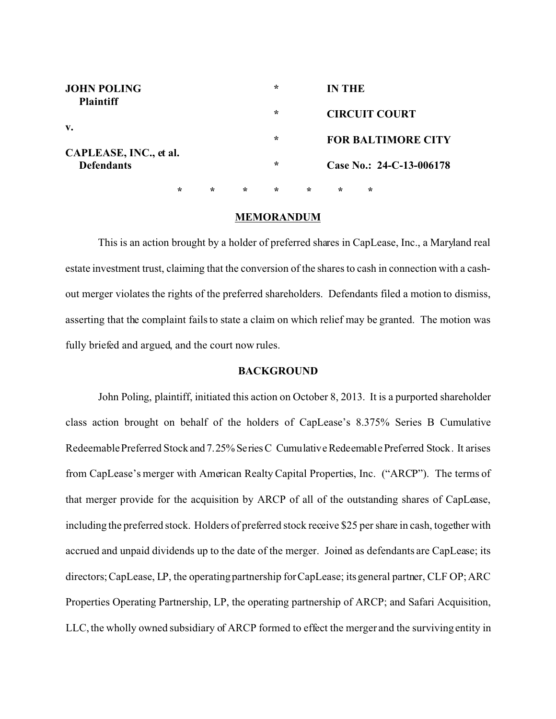| <b>JOHN POLING</b><br><b>Plaintiff</b> |         |         |        | $\ast$  |         | IN THE                    |        |                             |  |
|----------------------------------------|---------|---------|--------|---------|---------|---------------------------|--------|-----------------------------|--|
| v.                                     |         |         |        | $\ast$  |         | <b>CIRCUIT COURT</b>      |        |                             |  |
| CAPLEASE, INC., et al.                 |         |         |        | $\ast$  |         | <b>FOR BALTIMORE CITY</b> |        |                             |  |
| <b>Defendants</b>                      |         |         |        | $\ast$  |         |                           |        | Case No.: $24$ -C-13-006178 |  |
|                                        | $\star$ | $\star$ | $\ast$ | $\star$ | $\star$ | ∗                         | $\ast$ |                             |  |

### **MEMORANDUM**

This is an action brought by a holder of preferred shares in CapLease, Inc., a Maryland real estate investment trust, claiming that the conversion of the shares to cash in connection with a cashout merger violates the rights of the preferred shareholders. Defendants filed a motion to dismiss, asserting that the complaint fails to state a claim on which relief may be granted. The motion was fully briefed and argued, and the court now rules.

### **BACKGROUND**

John Poling, plaintiff, initiated this action on October 8, 2013. It is a purported shareholder class action brought on behalf of the holders of CapLease's 8.375% Series B Cumulative Redeemable Preferred Stock and 7.25% Series C Cumulative Redeemable Preferred Stock. It arises from CapLease's merger with American Realty Capital Properties, Inc. ("ARCP"). The terms of that merger provide for the acquisition by ARCP of all of the outstanding shares of CapLease, including the preferred stock. Holders of preferred stock receive \$25 per share in cash, together with accrued and unpaid dividends up to the date of the merger. Joined as defendants are CapLease; its directors; CapLease, LP, the operating partnership for CapLease; its general partner, CLF OP; ARC Properties Operating Partnership, LP, the operating partnership of ARCP; and Safari Acquisition, LLC, the wholly owned subsidiary of ARCP formed to effect the merger and the surviving entity in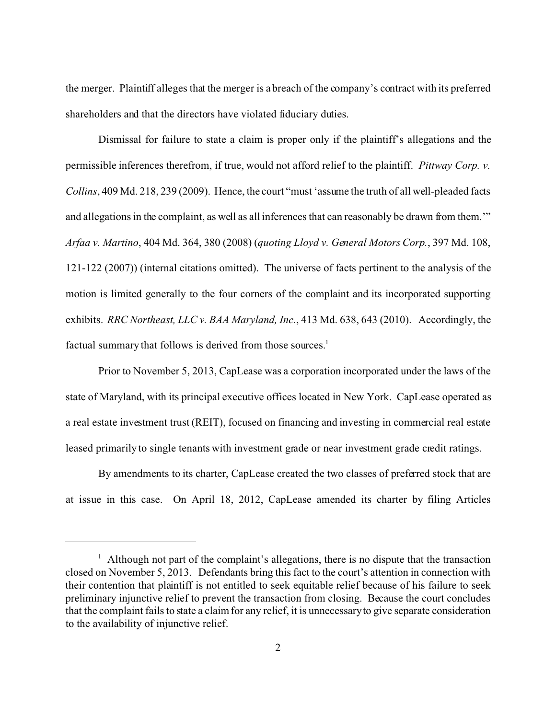the merger. Plaintiff alleges that the merger is a breach of the company's contract with its preferred shareholders and that the directors have violated fiduciary duties.

Dismissal for failure to state a claim is proper only if the plaintiff's allegations and the permissible inferences therefrom, if true, would not afford relief to the plaintiff. *Pittway Corp. v. Collins*, 409 Md. 218, 239 (2009). Hence, the court "must 'assume the truth of all well-pleaded facts and allegations in the complaint, as well as all inferences that can reasonably be drawn from them.'" *Arfaa v. Martino*, 404 Md. 364, 380 (2008) (*quoting Lloyd v. General Motors Corp.*, 397 Md. 108, 121-122 (2007)) (internal citations omitted). The universe of facts pertinent to the analysis of the motion is limited generally to the four corners of the complaint and its incorporated supporting exhibits. *RRC Northeast, LLC v. BAA Maryland, Inc.*, 413 Md. 638, 643 (2010). Accordingly, the factual summary that follows is derived from those sources.<sup>1</sup>

Prior to November 5, 2013, CapLease was a corporation incorporated under the laws of the state of Maryland, with its principal executive offices located in New York. CapLease operated as a real estate investment trust (REIT), focused on financing and investing in commercial real estate leased primarily to single tenants with investment grade or near investment grade credit ratings.

By amendments to its charter, CapLease created the two classes of preferred stock that are at issue in this case. On April 18, 2012, CapLease amended its charter by filing Articles

<sup>&</sup>lt;sup>1</sup> Although not part of the complaint's allegations, there is no dispute that the transaction closed on November 5, 2013. Defendants bring this fact to the court's attention in connection with their contention that plaintiff is not entitled to seek equitable relief because of his failure to seek preliminary injunctive relief to prevent the transaction from closing. Because the court concludes that the complaint fails to state a claim for any relief, it is unnecessary to give separate consideration to the availability of injunctive relief.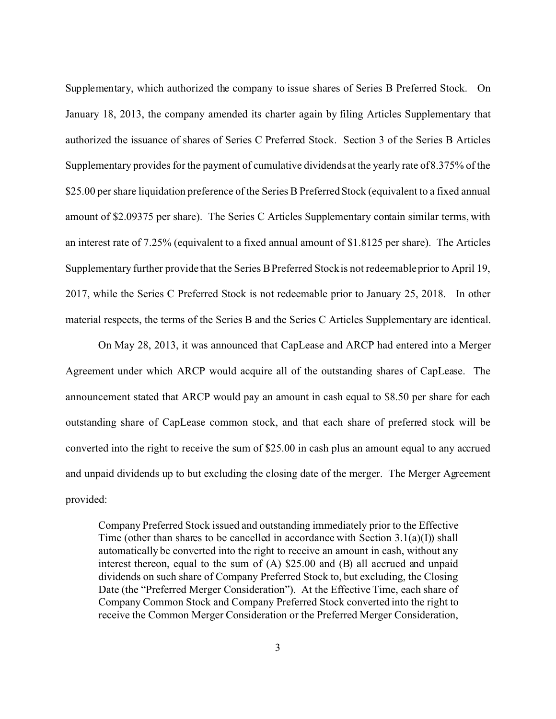Supplementary, which authorized the company to issue shares of Series B Preferred Stock. On January 18, 2013, the company amended its charter again by filing Articles Supplementary that authorized the issuance of shares of Series C Preferred Stock. Section 3 of the Series B Articles Supplementary provides for the payment of cumulative dividends at the yearly rate of 8.375% of the \$25.00 per share liquidation preference of the Series B Preferred Stock (equivalent to a fixed annual amount of \$2.09375 per share). The Series C Articles Supplementary contain similar terms, with an interest rate of 7.25% (equivalent to a fixed annual amount of \$1.8125 per share). The Articles Supplementary further provide that the Series B Preferred Stock is not redeemable prior to April 19, 2017, while the Series C Preferred Stock is not redeemable prior to January 25, 2018. In other material respects, the terms of the Series B and the Series C Articles Supplementary are identical.

On May 28, 2013, it was announced that CapLease and ARCP had entered into a Merger Agreement under which ARCP would acquire all of the outstanding shares of CapLease. The announcement stated that ARCP would pay an amount in cash equal to \$8.50 per share for each outstanding share of CapLease common stock, and that each share of preferred stock will be converted into the right to receive the sum of \$25.00 in cash plus an amount equal to any accrued and unpaid dividends up to but excluding the closing date of the merger. The Merger Agreement provided:

Company Preferred Stock issued and outstanding immediately prior to the Effective Time (other than shares to be cancelled in accordance with Section 3.1(a)(I)) shall automatically be converted into the right to receive an amount in cash, without any interest thereon, equal to the sum of (A) \$25.00 and (B) all accrued and unpaid dividends on such share of Company Preferred Stock to, but excluding, the Closing Date (the "Preferred Merger Consideration"). At the Effective Time, each share of Company Common Stock and Company Preferred Stock converted into the right to receive the Common Merger Consideration or the Preferred Merger Consideration,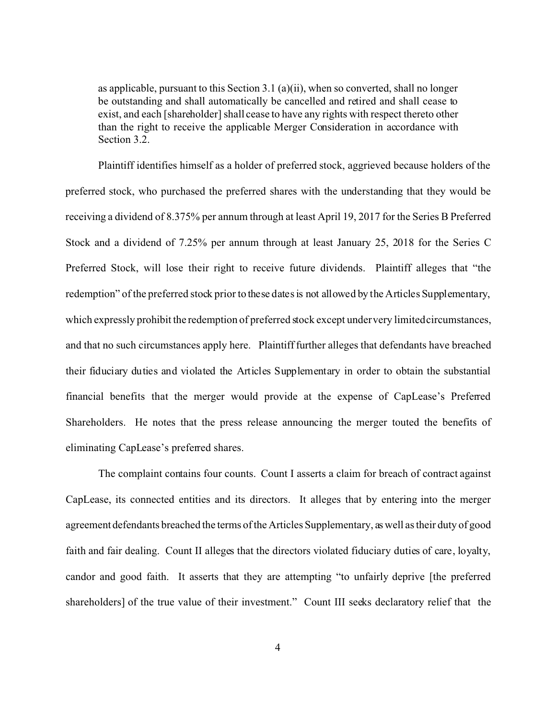as applicable, pursuant to this Section 3.1 (a)(ii), when so converted, shall no longer be outstanding and shall automatically be cancelled and retired and shall cease to exist, and each [shareholder] shall cease to have any rights with respect thereto other than the right to receive the applicable Merger Consideration in accordance with Section 3.2.

Plaintiff identifies himself as a holder of preferred stock, aggrieved because holders of the preferred stock, who purchased the preferred shares with the understanding that they would be receiving a dividend of 8.375% per annum through at least April 19, 2017 for the Series B Preferred Stock and a dividend of 7.25% per annum through at least January 25, 2018 for the Series C Preferred Stock, will lose their right to receive future dividends. Plaintiff alleges that "the redemption" of the preferred stock prior to these dates is not allowed by the Articles Supplementary, which expressly prohibit the redemption of preferred stock except under very limited circumstances, and that no such circumstances apply here. Plaintiff further alleges that defendants have breached their fiduciary duties and violated the Articles Supplementary in order to obtain the substantial financial benefits that the merger would provide at the expense of CapLease's Preferred Shareholders. He notes that the press release announcing the merger touted the benefits of eliminating CapLease's preferred shares.

The complaint contains four counts. Count I asserts a claim for breach of contract against CapLease, its connected entities and its directors. It alleges that by entering into the merger agreement defendants breached the terms of the Articles Supplementary, as well as their duty of good faith and fair dealing. Count II alleges that the directors violated fiduciary duties of care, loyalty, candor and good faith. It asserts that they are attempting "to unfairly deprive [the preferred shareholders] of the true value of their investment." Count III seeks declaratory relief that the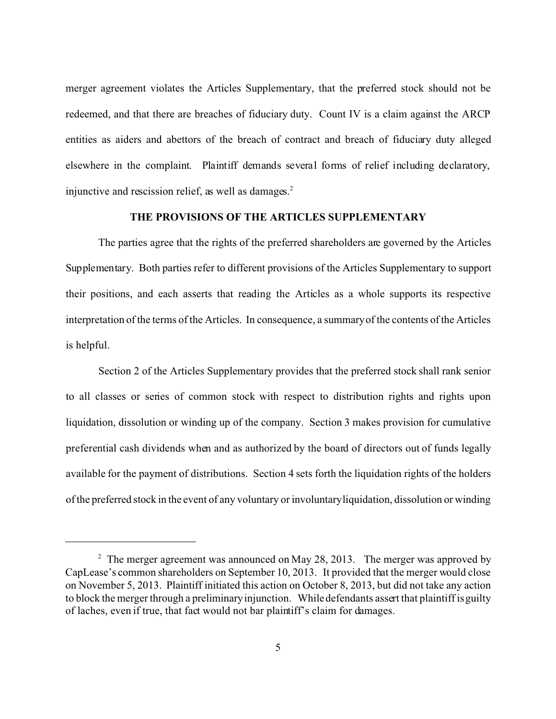merger agreement violates the Articles Supplementary, that the preferred stock should not be redeemed, and that there are breaches of fiduciary duty. Count IV is a claim against the ARCP entities as aiders and abettors of the breach of contract and breach of fiduciary duty alleged elsewhere in the complaint. Plaintiff demands several forms of relief including declaratory, injunctive and rescission relief, as well as damages. $2$ 

# **THE PROVISIONS OF THE ARTICLES SUPPLEMENTARY**

The parties agree that the rights of the preferred shareholders are governed by the Articles Supplementary. Both parties refer to different provisions of the Articles Supplementary to support their positions, and each asserts that reading the Articles as a whole supports its respective interpretation of the terms of the Articles. In consequence, a summary of the contents of the Articles is helpful.

Section 2 of the Articles Supplementary provides that the preferred stock shall rank senior to all classes or series of common stock with respect to distribution rights and rights upon liquidation, dissolution or winding up of the company. Section 3 makes provision for cumulative preferential cash dividends when and as authorized by the board of directors out of funds legally available for the payment of distributions. Section 4 sets forth the liquidation rights of the holders of the preferred stock in the event of any voluntary or involuntary liquidation, dissolution or winding

<sup>&</sup>lt;sup>2</sup> The merger agreement was announced on May 28, 2013. The merger was approved by CapLease's common shareholders on September 10, 2013. It provided that the merger would close on November 5, 2013. Plaintiff initiated this action on October 8, 2013, but did not take any action to block the merger through a preliminary injunction. While defendants assert that plaintiff is guilty of laches, even if true, that fact would not bar plaintiff's claim for damages.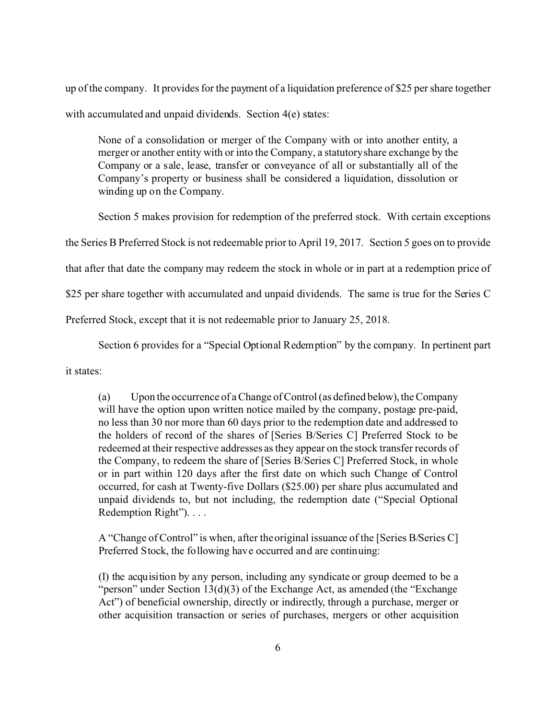up of the company. It provides for the payment of a liquidation preference of \$25 per share together with accumulated and unpaid dividends. Section 4(e) states:

None of a consolidation or merger of the Company with or into another entity, a merger or another entity with or into the Company, a statutory share exchange by the Company or a sale, lease, transfer or conveyance of all or substantially all of the Company's property or business shall be considered a liquidation, dissolution or winding up on the Company.

Section 5 makes provision for redemption of the preferred stock. With certain exceptions

the Series B Preferred Stock is not redeemable prior to April 19, 2017. Section 5 goes on to provide

that after that date the company may redeem the stock in whole or in part at a redemption price of

\$25 per share together with accumulated and unpaid dividends. The same is true for the Series C

Preferred Stock, except that it is not redeemable prior to January 25, 2018.

Section 6 provides for a "Special Optional Redemption" by the company. In pertinent part

it states:

(a) Upon the occurrence of a Change of Control (as defined below), the Company will have the option upon written notice mailed by the company, postage pre-paid, no less than 30 nor more than 60 days prior to the redemption date and addressed to the holders of record of the shares of [Series B/Series C] Preferred Stock to be redeemed at their respective addresses as they appear on the stock transfer records of the Company, to redeem the share of [Series B/Series C] Preferred Stock, in whole or in part within 120 days after the first date on which such Change of Control occurred, for cash at Twenty-five Dollars (\$25.00) per share plus accumulated and unpaid dividends to, but not including, the redemption date ("Special Optional Redemption Right"). . . .

A "Change of Control" is when, after the original issuance of the [Series B/Series C] Preferred Stock, the following have occurred and are continuing:

(I) the acquisition by any person, including any syndicate or group deemed to be a "person" under Section 13(d)(3) of the Exchange Act, as amended (the "Exchange Act") of beneficial ownership, directly or indirectly, through a purchase, merger or other acquisition transaction or series of purchases, mergers or other acquisition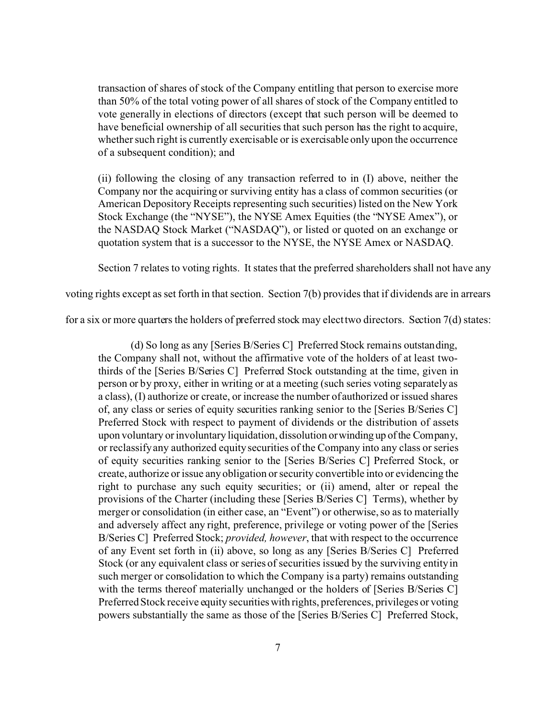transaction of shares of stock of the Company entitling that person to exercise more than 50% of the total voting power of all shares of stock of the Company entitled to vote generally in elections of directors (except that such person will be deemed to have beneficial ownership of all securities that such person has the right to acquire, whether such right is currently exercisable or is exercisable only upon the occurrence of a subsequent condition); and

(ii) following the closing of any transaction referred to in (I) above, neither the Company nor the acquiring or surviving entity has a class of common securities (or American Depository Receipts representing such securities) listed on the New York Stock Exchange (the "NYSE"), the NYSE Amex Equities (the "NYSE Amex"), or the NASDAQ Stock Market ("NASDAQ"), or listed or quoted on an exchange or quotation system that is a successor to the NYSE, the NYSE Amex or NASDAQ.

Section 7 relates to voting rights. It states that the preferred shareholders shall not have any

voting rights except as set forth in that section. Section 7(b) provides that if dividends are in arrears

for a six or more quarters the holders of preferred stock may elect two directors. Section 7(d) states:

(d) So long as any [Series B/Series C] Preferred Stock remains outstanding, the Company shall not, without the affirmative vote of the holders of at least twothirds of the [Series B/Series C] Preferred Stock outstanding at the time, given in person or by proxy, either in writing or at a meeting (such series voting separately as a class), (I) authorize or create, or increase the number of authorized or issued shares of, any class or series of equity securities ranking senior to the [Series B/Series C] Preferred Stock with respect to payment of dividends or the distribution of assets upon voluntary or involuntary liquidation, dissolution or winding up of the Company, or reclassify any authorized equity securities of the Company into any class or series of equity securities ranking senior to the [Series B/Series C] Preferred Stock, or create, authorize or issue any obligation or security convertible into or evidencing the right to purchase any such equity securities; or (ii) amend, alter or repeal the provisions of the Charter (including these [Series B/Series C] Terms), whether by merger or consolidation (in either case, an "Event") or otherwise, so as to materially and adversely affect any right, preference, privilege or voting power of the [Series B/Series C] Preferred Stock; *provided, however*, that with respect to the occurrence of any Event set forth in (ii) above, so long as any [Series B/Series C] Preferred Stock (or any equivalent class or series of securities issued by the surviving entity in such merger or consolidation to which the Company is a party) remains outstanding with the terms thereof materially unchanged or the holders of [Series B/Series C] Preferred Stock receive equity securitieswith rights, preferences, privileges or voting powers substantially the same as those of the [Series B/Series C] Preferred Stock,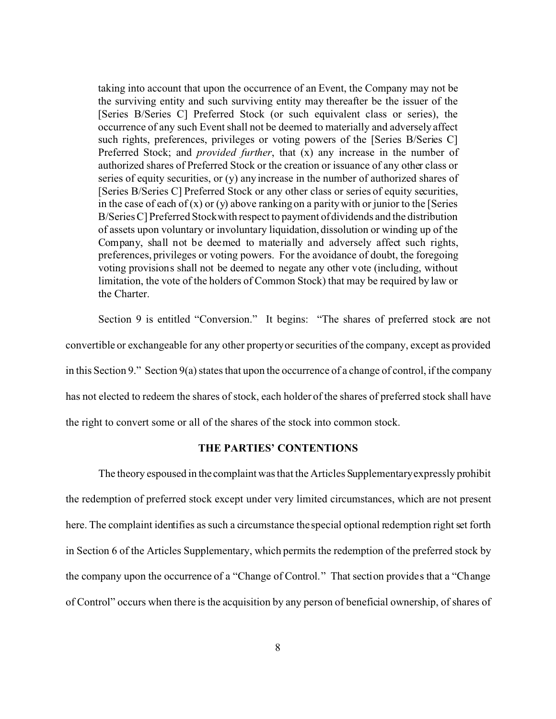taking into account that upon the occurrence of an Event, the Company may not be the surviving entity and such surviving entity may thereafter be the issuer of the [Series B/Series C] Preferred Stock (or such equivalent class or series), the occurrence of any such Event shall not be deemed to materially and adversely affect such rights, preferences, privileges or voting powers of the [Series B/Series C] Preferred Stock; and *provided further*, that (x) any increase in the number of authorized shares of Preferred Stock or the creation or issuance of any other class or series of equity securities, or (y) any increase in the number of authorized shares of [Series B/Series C] Preferred Stock or any other class or series of equity securities, in the case of each of  $(x)$  or  $(y)$  above ranking on a parity with or junior to the [Series B/Series C] Preferred Stock with respect to payment of dividends and the distribution of assets upon voluntary or involuntary liquidation, dissolution or winding up of the Company, shall not be deemed to materially and adversely affect such rights, preferences, privileges or voting powers. For the avoidance of doubt, the foregoing voting provisions shall not be deemed to negate any other vote (including, without limitation, the vote of the holders of Common Stock) that may be required by law or the Charter.

Section 9 is entitled "Conversion." It begins: "The shares of preferred stock are not convertible or exchangeable for any other property or securities of the company, except as provided in this Section 9." Section 9(a) states that upon the occurrence of a change of control, if the company has not elected to redeem the shares of stock, each holder of the shares of preferred stock shall have the right to convert some or all of the shares of the stock into common stock.

## **THE PARTIES' CONTENTIONS**

The theory espoused in the complaint was that the Articles Supplementary expressly prohibit the redemption of preferred stock except under very limited circumstances, which are not present here. The complaint identifies as such a circumstance the special optional redemption right set forth in Section 6 of the Articles Supplementary, which permits the redemption of the preferred stock by the company upon the occurrence of a "Change of Control." That section provides that a "Change of Control" occurs when there is the acquisition by any person of beneficial ownership, of shares of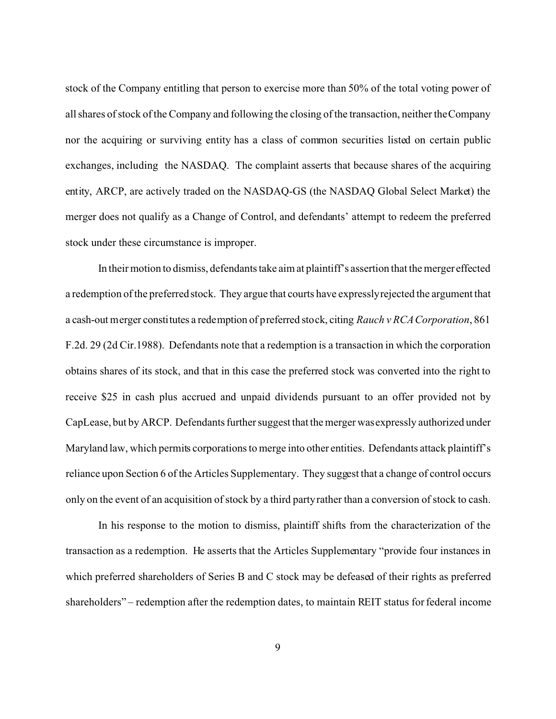stock of the Company entitling that person to exercise more than 50% of the total voting power of all shares of stock of the Company and following the closing of the transaction, neither the Company nor the acquiring or surviving entity has a class of common securities listed on certain public exchanges, including the NASDAQ. The complaint asserts that because shares of the acquiring entity, ARCP, are actively traded on the NASDAQ-GS (the NASDAQ Global Select Market) the merger does not qualify as a Change of Control, and defendants' attempt to redeem the preferred stock under these circumstance is improper.

In their motion to dismiss, defendants take aim at plaintiff's assertion that the merger effected a redemption of the preferred stock. They argue that courts have expressly rejected the argument that a cash-out merger constitutes a redemption of preferred stock, citing *Rauch v RCA Corporation*, 861 F.2d. 29 (2d Cir.1988). Defendants note that a redemption is a transaction in which the corporation obtains shares of its stock, and that in this case the preferred stock was converted into the right to receive \$25 in cash plus accrued and unpaid dividends pursuant to an offer provided not by CapLease, but by ARCP. Defendants further suggest that the merger was expressly authorized under Maryland law, which permits corporations to merge into other entities. Defendants attack plaintiff's reliance upon Section 6 of the Articles Supplementary. They suggest that a change of control occurs only on the event of an acquisition of stock by a third party rather than a conversion of stock to cash.

In his response to the motion to dismiss, plaintiff shifts from the characterization of the transaction as a redemption. He asserts that the Articles Supplementary "provide four instances in which preferred shareholders of Series B and C stock may be defeased of their rights as preferred shareholders" – redemption after the redemption dates, to maintain REIT status for federal income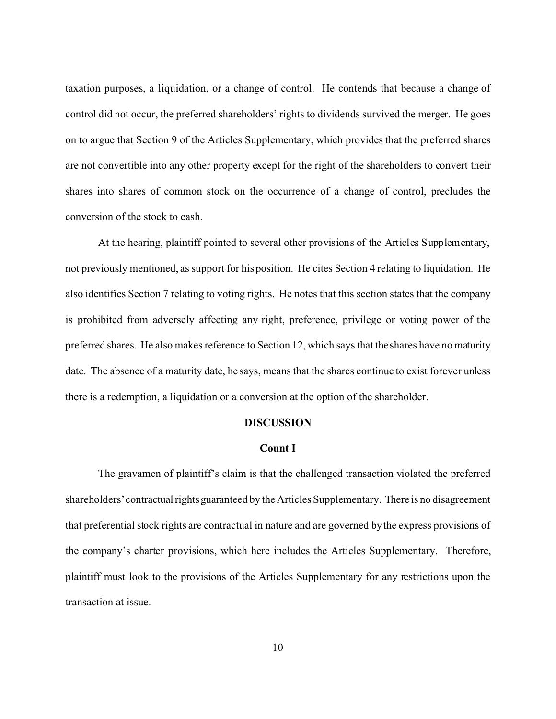taxation purposes, a liquidation, or a change of control. He contends that because a change of control did not occur, the preferred shareholders' rights to dividends survived the merger. He goes on to argue that Section 9 of the Articles Supplementary, which provides that the preferred shares are not convertible into any other property except for the right of the shareholders to convert their shares into shares of common stock on the occurrence of a change of control, precludes the conversion of the stock to cash.

At the hearing, plaintiff pointed to several other provisions of the Articles Supplementary, not previously mentioned, as support for his position. He cites Section 4 relating to liquidation. He also identifies Section 7 relating to voting rights. He notes that this section states that the company is prohibited from adversely affecting any right, preference, privilege or voting power of the preferred shares. He also makes reference to Section 12, which says that the shares have no maturity date. The absence of a maturity date, he says, means that the shares continue to exist forever unless there is a redemption, a liquidation or a conversion at the option of the shareholder.

### **DISCUSSION**

### **Count I**

The gravamen of plaintiff's claim is that the challenged transaction violated the preferred shareholders' contractual rights guaranteed by the Articles Supplementary. There is no disagreement that preferential stock rights are contractual in nature and are governed by the express provisions of the company's charter provisions, which here includes the Articles Supplementary. Therefore, plaintiff must look to the provisions of the Articles Supplementary for any restrictions upon the transaction at issue.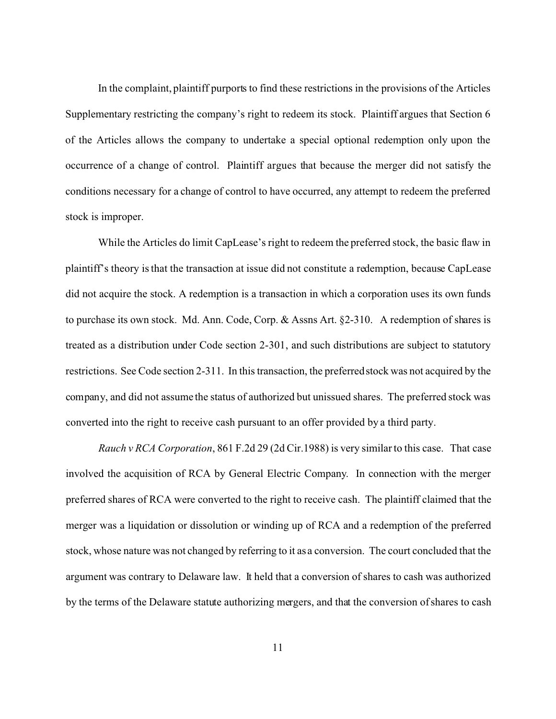In the complaint, plaintiff purports to find these restrictions in the provisions of the Articles Supplementary restricting the company's right to redeem its stock. Plaintiff argues that Section 6 of the Articles allows the company to undertake a special optional redemption only upon the occurrence of a change of control. Plaintiff argues that because the merger did not satisfy the conditions necessary for a change of control to have occurred, any attempt to redeem the preferred stock is improper.

While the Articles do limit CapLease's right to redeem the preferred stock, the basic flaw in plaintiff's theory is that the transaction at issue did not constitute a redemption, because CapLease did not acquire the stock. A redemption is a transaction in which a corporation uses its own funds to purchase its own stock. Md. Ann. Code, Corp. & Assns Art. §2-310. A redemption of shares is treated as a distribution under Code section 2-301, and such distributions are subject to statutory restrictions. See Code section 2-311. In this transaction, the preferred stock was not acquired by the company, and did not assume the status of authorized but unissued shares. The preferred stock was converted into the right to receive cash pursuant to an offer provided by a third party.

*Rauch v RCA Corporation*, 861 F.2d 29 (2d Cir.1988) is very similar to this case. That case involved the acquisition of RCA by General Electric Company. In connection with the merger preferred shares of RCA were converted to the right to receive cash. The plaintiff claimed that the merger was a liquidation or dissolution or winding up of RCA and a redemption of the preferred stock, whose nature was not changed by referring to it as a conversion. The court concluded that the argument was contrary to Delaware law. It held that a conversion of shares to cash was authorized by the terms of the Delaware statute authorizing mergers, and that the conversion of shares to cash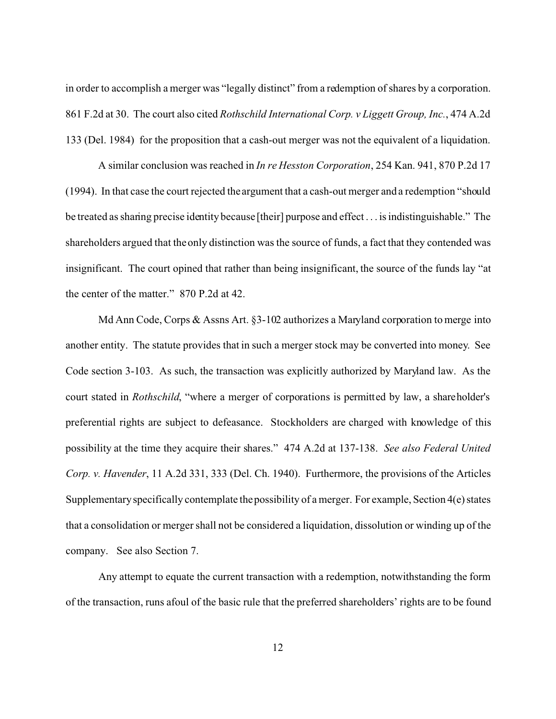in order to accomplish a merger was "legally distinct" from a redemption of shares by a corporation. 861 F.2d at 30. The court also cited *Rothschild International Corp. v Liggett Group, Inc.*, 474 A.2d 133 (Del. 1984) for the proposition that a cash-out merger was not the equivalent of a liquidation.

A similar conclusion was reached in *In re Hesston Corporation*, 254 Kan. 941, 870 P.2d 17 (1994). In that case the court rejected the argument that a cash-out merger and a redemption "should be treated as sharing precise identity because [their] purpose and effect . . . is indistinguishable." The shareholders argued that the only distinction was the source of funds, a fact that they contended was insignificant. The court opined that rather than being insignificant, the source of the funds lay "at the center of the matter." 870 P.2d at 42.

Md Ann Code, Corps & Assns Art. §3-102 authorizes a Maryland corporation to merge into another entity. The statute provides that in such a merger stock may be converted into money. See Code section 3-103. As such, the transaction was explicitly authorized by Maryland law. As the court stated in *Rothschild*, "where a merger of corporations is permitted by law, a shareholder's preferential rights are subject to defeasance. Stockholders are charged with knowledge of this possibility at the time they acquire their shares." 474 A.2d at 137-138. *See also Federal United Corp. v. Havender*, 11 A.2d 331, 333 (Del. Ch. 1940). Furthermore, the provisions of the Articles Supplementary specifically contemplate the possibility of a merger. For example, Section 4(e) states that a consolidation or merger shall not be considered a liquidation, dissolution or winding up of the company. See also Section 7.

Any attempt to equate the current transaction with a redemption, notwithstanding the form of the transaction, runs afoul of the basic rule that the preferred shareholders' rights are to be found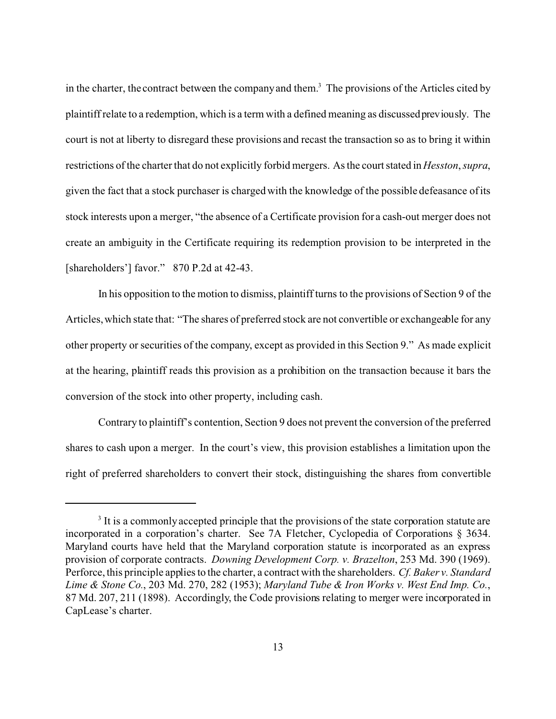in the charter, the contract between the company and them.<sup>3</sup> The provisions of the Articles cited by plaintiff relate to a redemption, which is a term with a defined meaning as discussed previously. The court is not at liberty to disregard these provisions and recast the transaction so as to bring it within restrictions of the charter that do not explicitly forbid mergers. As the court stated in *Hesston*, *supra*, given the fact that a stock purchaser is charged with the knowledge of the possible defeasance of its stock interests upon a merger, "the absence of a Certificate provision for a cash-out merger does not create an ambiguity in the Certificate requiring its redemption provision to be interpreted in the [shareholders'] favor." 870 P.2d at 42-43.

In his opposition to the motion to dismiss, plaintiff turns to the provisions of Section 9 of the Articles, which state that: "The shares of preferred stock are not convertible or exchangeable for any other property or securities of the company, except as provided in this Section 9." As made explicit at the hearing, plaintiff reads this provision as a prohibition on the transaction because it bars the conversion of the stock into other property, including cash.

Contrary to plaintiff's contention, Section 9 does not prevent the conversion of the preferred shares to cash upon a merger. In the court's view, this provision establishes a limitation upon the right of preferred shareholders to convert their stock, distinguishing the shares from convertible

<sup>&</sup>lt;sup>3</sup> It is a commonly accepted principle that the provisions of the state corporation statute are incorporated in a corporation's charter. See 7A Fletcher, Cyclopedia of Corporations § 3634. Maryland courts have held that the Maryland corporation statute is incorporated as an express provision of corporate contracts. *Downing Development Corp. v. Brazelton*, 253 Md. 390 (1969). Perforce, this principle applies to the charter, a contract with the shareholders. *Cf. Baker v. Standard Lime & Stone Co.*, 203 Md. 270, 282 (1953); *Maryland Tube & Iron Works v. West End Imp. Co.*, 87 Md. 207, 211 (1898). Accordingly, the Code provisions relating to merger were incorporated in CapLease's charter.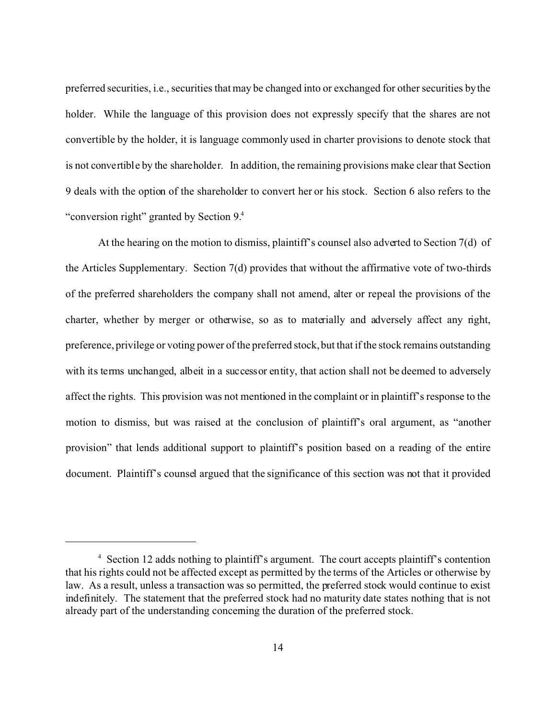preferred securities, i.e., securities that may be changed into or exchanged for other securities by the holder. While the language of this provision does not expressly specify that the shares are not convertible by the holder, it is language commonly used in charter provisions to denote stock that is not convertible by the shareholder. In addition, the remaining provisions make clear that Section 9 deals with the option of the shareholder to convert her or his stock. Section 6 also refers to the "conversion right" granted by Section 9.4

At the hearing on the motion to dismiss, plaintiff's counsel also adverted to Section 7(d) of the Articles Supplementary. Section  $7(d)$  provides that without the affirmative vote of two-thirds of the preferred shareholders the company shall not amend, alter or repeal the provisions of the charter, whether by merger or otherwise, so as to materially and adversely affect any right, preference, privilege or voting power of the preferred stock, but that if the stock remains outstanding with its terms unchanged, albeit in a successor entity, that action shall not be deemed to adversely affect the rights. This provision was not mentioned in the complaint or in plaintiff's response to the motion to dismiss, but was raised at the conclusion of plaintiff's oral argument, as "another provision" that lends additional support to plaintiff's position based on a reading of the entire document. Plaintiff's counsel argued that the significance of this section was not that it provided

<sup>&</sup>lt;sup>4</sup> Section 12 adds nothing to plaintiff's argument. The court accepts plaintiff's contention that his rights could not be affected except as permitted by the terms of the Articles or otherwise by law. As a result, unless a transaction was so permitted, the preferred stock would continue to exist indefinitely. The statement that the preferred stock had no maturity date states nothing that is not already part of the understanding concerning the duration of the preferred stock.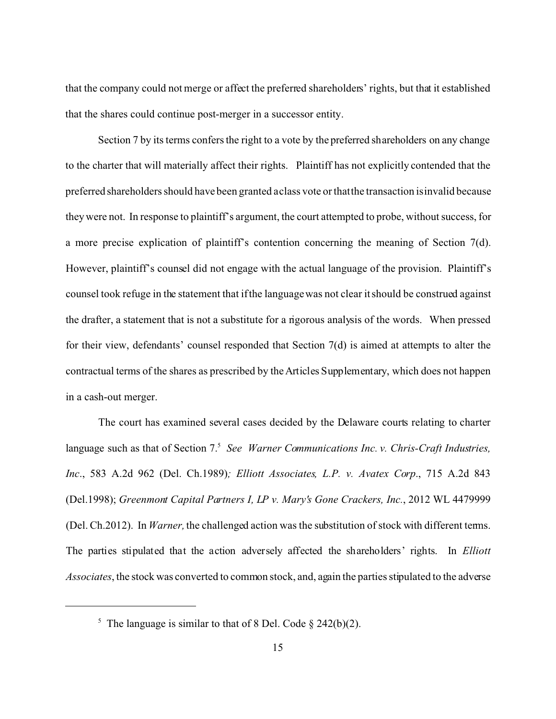that the company could not merge or affect the preferred shareholders' rights, but that it established that the shares could continue post-merger in a successor entity.

Section 7 by its terms confers the right to a vote by the preferred shareholders on any change to the charter that will materially affect their rights. Plaintiff has not explicitly contended that the preferred shareholders should have been granted a class vote or that the transaction is invalid because they were not. In response to plaintiff's argument, the court attempted to probe, without success, for a more precise explication of plaintiff's contention concerning the meaning of Section 7(d). However, plaintiff's counsel did not engage with the actual language of the provision. Plaintiff's counsel took refuge in the statement that if the language was not clear it should be construed against the drafter, a statement that is not a substitute for a rigorous analysis of the words. When pressed for their view, defendants' counsel responded that Section 7(d) is aimed at attempts to alter the contractual terms of the shares as prescribed by the Articles Supplementary, which does not happen in a cash-out merger.

The court has examined several cases decided by the Delaware courts relating to charter language such as that of Section 7.<sup>5</sup> See Warner Communications Inc. v. Chris-Craft Industries, *Inc*., 583 A.2d 962 (Del. Ch.1989)*; Elliott Associates, L.P. v. Avatex Corp*., 715 A.2d 843 (Del.1998); *Greenmont Capital Partners I, LP v. Mary's Gone Crackers, Inc.*, 2012 WL 4479999 (Del. Ch.2012). In *Warner,* the challenged action was the substitution of stock with different terms. The parties stipulated that the action adversely affected the shareholders' rights. In *Elliott Associates*, the stock was converted to common stock, and, again the parties stipulated to the adverse

<sup>&</sup>lt;sup>5</sup> The language is similar to that of 8 Del. Code  $\S$  242(b)(2).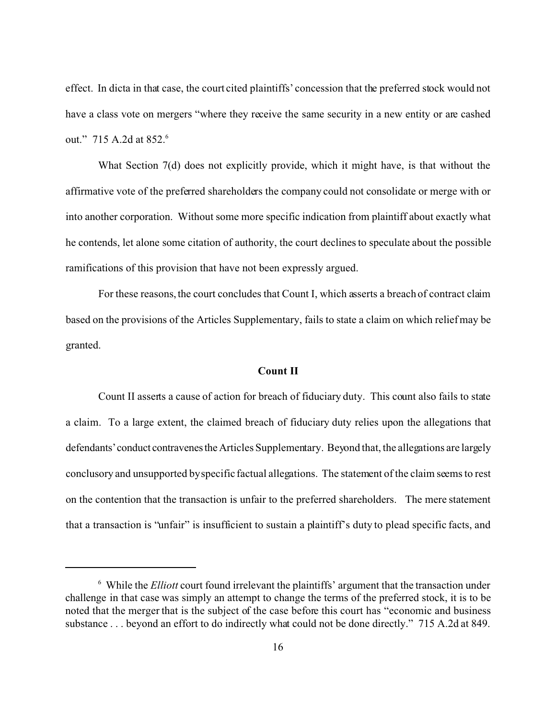effect. In dicta in that case, the court cited plaintiffs' concession that the preferred stock would not have a class vote on mergers "where they receive the same security in a new entity or are cashed out." 715 A.2d at 852.<sup>6</sup>

What Section 7(d) does not explicitly provide, which it might have, is that without the affirmative vote of the preferred shareholders the company could not consolidate or merge with or into another corporation. Without some more specific indication from plaintiff about exactly what he contends, let alone some citation of authority, the court declines to speculate about the possible ramifications of this provision that have not been expressly argued.

For these reasons, the court concludes that Count I, which asserts a breach of contract claim based on the provisions of the Articles Supplementary, fails to state a claim on which relief may be granted.

# **Count II**

Count II asserts a cause of action for breach of fiduciary duty. This count also fails to state a claim. To a large extent, the claimed breach of fiduciary duty relies upon the allegations that defendants'conduct contravenestheArticles Supplementary. Beyond that, the allegations are largely conclusory and unsupported by specific factual allegations. The statement of the claim seems to rest on the contention that the transaction is unfair to the preferred shareholders. The mere statement that a transaction is "unfair" is insufficient to sustain a plaintiff's duty to plead specific facts, and

<sup>&</sup>lt;sup>6</sup> While the *Elliott* court found irrelevant the plaintiffs' argument that the transaction under challenge in that case was simply an attempt to change the terms of the preferred stock, it is to be noted that the merger that is the subject of the case before this court has "economic and business substance . . . beyond an effort to do indirectly what could not be done directly." 715 A.2d at 849.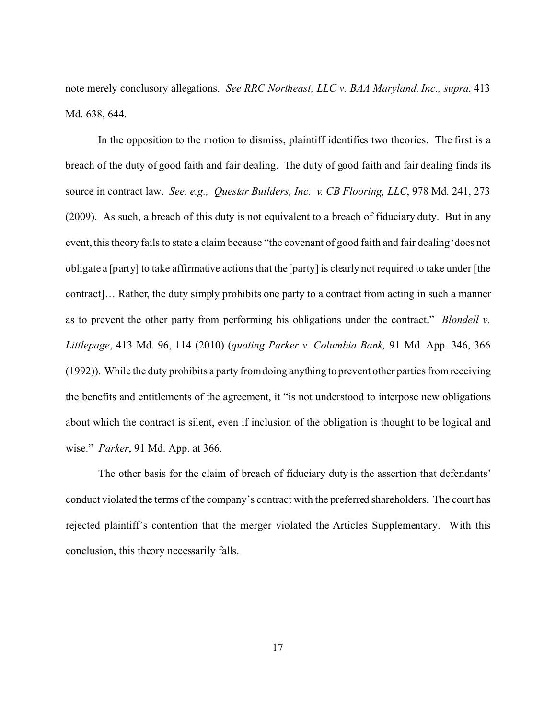note merely conclusory allegations. *See RRC Northeast, LLC v. BAA Maryland, Inc., supra*, 413 Md. 638, 644.

In the opposition to the motion to dismiss, plaintiff identifies two theories. The first is a breach of the duty of good faith and fair dealing. The duty of good faith and fair dealing finds its source in contract law. *See, e.g., Questar Builders, Inc. v. CB Flooring, LLC*, 978 Md. 241, 273 (2009). As such, a breach of this duty is not equivalent to a breach of fiduciary duty. But in any event, this theory fails to state a claim because "the covenant of good faith and fair dealing 'does not obligate a [party] to take affirmative actions that the [party] is clearly not required to take under [the contract]… Rather, the duty simply prohibits one party to a contract from acting in such a manner as to prevent the other party from performing his obligations under the contract." *Blondell v. Littlepage*, 413 Md. 96, 114 (2010) (*quoting Parker v. Columbia Bank,* 91 Md. App. 346, 366 (1992)). While the duty prohibits a party from doing anything to prevent other parties from receiving the benefits and entitlements of the agreement, it "is not understood to interpose new obligations about which the contract is silent, even if inclusion of the obligation is thought to be logical and wise." *Parker*, 91 Md. App. at 366.

The other basis for the claim of breach of fiduciary duty is the assertion that defendants' conduct violated the terms of the company's contract with the preferred shareholders. The court has rejected plaintiff's contention that the merger violated the Articles Supplementary. With this conclusion, this theory necessarily falls.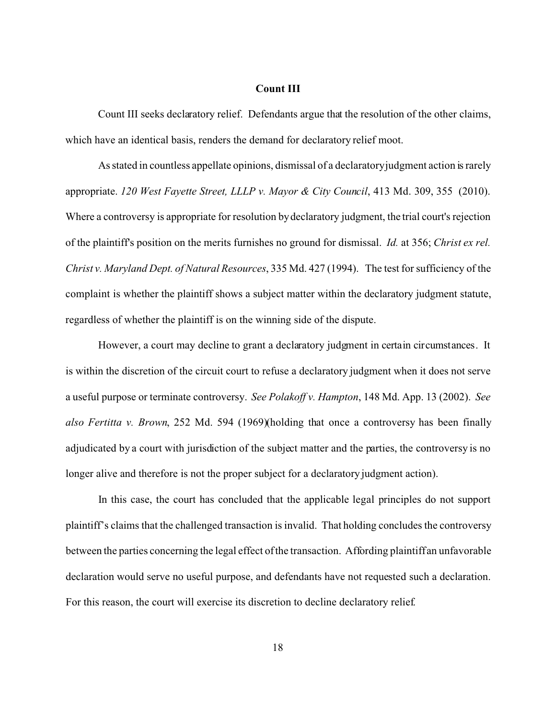### **Count III**

Count III seeks declaratory relief. Defendants argue that the resolution of the other claims, which have an identical basis, renders the demand for declaratory relief moot.

As stated in countless appellate opinions, dismissal of a declaratory judgment action is rarely appropriate. *120 West Fayette Street, LLLP v. Mayor & City Council*, 413 Md. 309, 355 (2010). Where a controversy is appropriate for resolution by declaratory judgment, the trial court's rejection of the plaintiff's position on the merits furnishes no ground for dismissal. *Id.* at 356; *Christ ex rel. Christ v. Maryland Dept. of Natural Resources*, 335 Md. 427 (1994). The test for sufficiency of the complaint is whether the plaintiff shows a subject matter within the declaratory judgment statute, regardless of whether the plaintiff is on the winning side of the dispute.

However, a court may decline to grant a declaratory judgment in certain circumstances. It is within the discretion of the circuit court to refuse a declaratory judgment when it does not serve a useful purpose or terminate controversy. *See Polakoff v. Hampton*, 148 Md. App. 13 (2002). *See also Fertitta v. Brown*, 252 Md. 594 (1969)(holding that once a controversy has been finally adjudicated by a court with jurisdiction of the subject matter and the parties, the controversy is no longer alive and therefore is not the proper subject for a declaratory judgment action).

In this case, the court has concluded that the applicable legal principles do not support plaintiff's claims that the challenged transaction is invalid. That holding concludes the controversy between the parties concerning the legal effect of the transaction. Affording plaintiff an unfavorable declaration would serve no useful purpose, and defendants have not requested such a declaration. For this reason, the court will exercise its discretion to decline declaratory relief.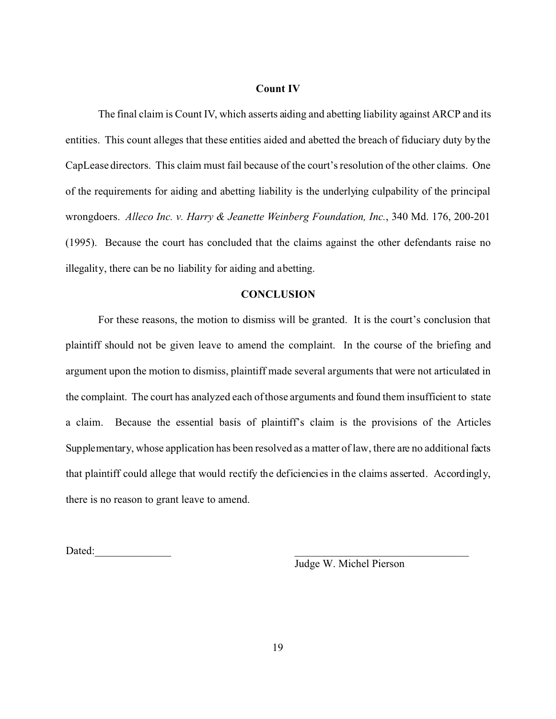### **Count IV**

The final claim is Count IV, which asserts aiding and abetting liability against ARCP and its entities. This count alleges that these entities aided and abetted the breach of fiduciary duty by the CapLease directors. This claim must fail because of the court's resolution of the other claims. One of the requirements for aiding and abetting liability is the underlying culpability of the principal wrongdoers. *Alleco Inc. v. Harry & Jeanette Weinberg Foundation, Inc.*, 340 Md. 176, 200-201 (1995). Because the court has concluded that the claims against the other defendants raise no illegality, there can be no liability for aiding and abetting.

## **CONCLUSION**

For these reasons, the motion to dismiss will be granted. It is the court's conclusion that plaintiff should not be given leave to amend the complaint. In the course of the briefing and argument upon the motion to dismiss, plaintiff made several arguments that were not articulated in the complaint. The court has analyzed each of those arguments and found them insufficient to state a claim. Because the essential basis of plaintiff's claim is the provisions of the Articles Supplementary, whose application has been resolved as a matter of law, there are no additional facts that plaintiff could allege that would rectify the deficiencies in the claims asserted. Accordingly, there is no reason to grant leave to amend.

Dated:

Judge W. Michel Pierson